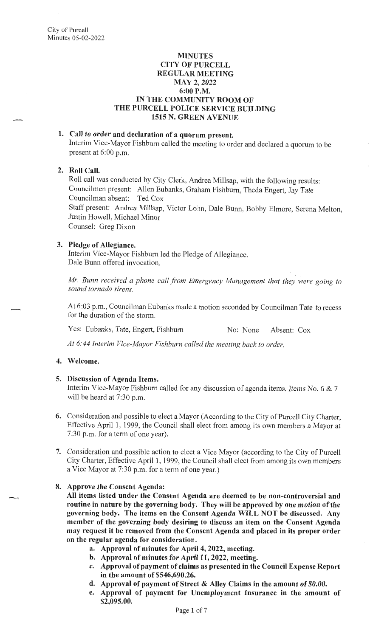#### **MINUTES CITY OF PURCELL REGULAR MEETING MAY21 2022 6:00P.M. IN THE COMMUNITY ROOM OF THE PURCELL POLICE SERVICE BUILDING 1515 N. GREEN AVENUE**

# **1. Call to order and declaration of a quorum present.**

Interim Vice-Mayor Fishburn called the meeting to order and declared a quorum to be present at 6:00 p.m.

### **2. Roll Call.**

Roll call was conducted by City Clerk, Andrea Millsap, with the following results: Councilmen present: Allen Eubanks, Graham Fishburn, Theda Engert, Jay Tate Councilman absent: Ted Cox Staff present: Andrea Millsap, Victor Lonn, Dale Bunn, Bobby Elmore, Serena Melton, Justin Howell, Michael Minor Counsel: Greg Dixon

### **3. Pledge of Allegiance.**

Interim Vice-Mayor Fishburn led the Pledge of Allegiance. Dale Bunn offered invocation.

*Mr. Bunn received a phone call from Emergency Management that they were going to sound tornado sirens.* 

At 6:03 p.m., Councilman Eubanks made a motion seconded by Councilman Tate to recess for the duration of the storm.

Yes: Eubanks, Tate, Engert, Fishburn No: None Absent: Cox

*At 6:44 Interim Vice-Mayor Fishburn called the meeting back to order.* 

## **4. Welcome.**

### **5. Discussion of Agenda Items.**

Interim Vice-Mayor Fishburn called for any discussion of agenda items. Items No. 6  $& 7$ will be heard at 7:30 p.m.

- **6.** Consideration and possible to elect a Mayor (According to the City of Purcell City Charter, Effective April 1, 1999, the Council shall elect from among its own members a Mayor at 7:30 p.m. for a term of one year).
- 7. Consideration and possible action to elect a Vice Mayor ( according to the City of Purcell City Charter, Effective April 1, 1999, the Council shall elect from among its own members a Vice Mayor at 7:30 p.m. for a term of one year.)
- **8. Approve the Consent Agenda:**

**All items listed under the Consent Agenda are deemed to be non-controversial and routine in nature by the governing body. They will be approved by one motion of the governing body. The items on the Consent Agenda WILL NOT be discussed. Any member of the governing body desiring to discuss an item on the Consent Agenda may request it be removed from the Consent Agenda and placed in its proper order on the regular agenda for consideration.** 

- **a. Approval of minutes for April 4, 2022, meeting.**
- **b. Approval of minutes for April 11, 2022, meeting.**
- **c. Approval of payment of claims as presented in the Council Expense Report in the amount of \$546,690.26.**
- **d. Approval of payment of Street** & **Alley Claims in the amount of \$0.00.**
- **e. Approval of payment for Unemployment Insurance in the amount of \$2,095.00.**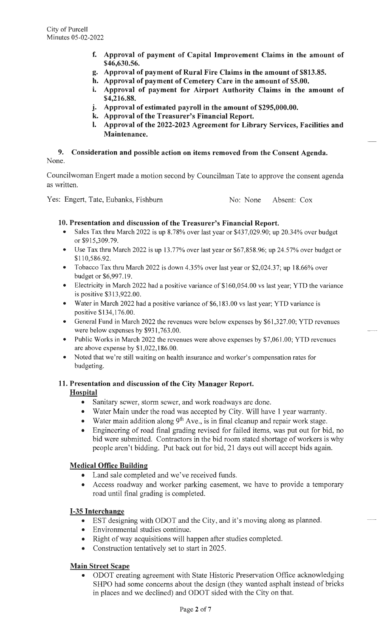- **f. Approval of payment of Capital Improvement Claims in the amount of \$46,630.56.**
- **g. Approval of payment of Rural Fire Claims in the amount of \$813.85.**
- **h. Approval of payment of Cemetery Care in the amount of \$5.00.**
- **i. Approval of payment for Airport Authority Claims in the amount of \$4,216.88.**
- **J• Approval of estimated payroll in the amount of \$295,000.00.**
- **k. Approval of the Treasurer's Financial Report.**
- **I.** Approval of the 2022-2023 Agreement for Library Services, Facilities and **Maintenance.**

# **9. Consideration and possible action on items removed from the Consent Agenda.**  None.

Councilwoman Engert made a motion second by Councilman Tate to approve the consent agenda as written.

Yes: Engert, Tate, Eubanks, Fishburn No: No. None Absent: Cox

 $\overline{\phantom{0}}$ 

LJ

# **10. Presentation and discussion of the Treasurer's Financial Report.**

- Sales Tax thru March 2022 is up 8.78% over last year or \$437,029.90; up 20.34% over budget or \$915,309.79.
- Use Tax thru March 2022 is up 13.77% over last year or \$67,858.96; up 24.57% over budget or \$110,586.92.
- Tobacco Tax thru March 2022 is down 4.35% over last year or \$2,024.37; up 18.66% over budget or \$6,997.19.
- Electricity in March 2022 had a positive variance of \$160,054.00 vs last year; YTD the variance is positive \$313 ,922.00.
- Water in March 2022 had a positive variance of \$6,183.00 vs last year; YTD variance is positive \$134,176.00.
- General Fund in March 2022 the revenues were below expenses by \$61 ,327.00; YTD revenues were below expenses by \$931,763.00.
- Public Works in March 2022 the revenues were above expenses by \$7,061.00; YTD revenues are above expense by \$1,022,186.00.
- Noted that we're still waiting on health insurance and worker's compensation rates for budgeting.

# **11. Presentation and discussion of the City Manager Report.**

### **Hospital**

- Sanitary sewer, storm sewer, and work roadways are done.
- Water Main under the road was accepted by City. Will have 1 year warranty.
- Water main addition along  $9<sup>th</sup>$  Ave., is in final cleanup and repair work stage.
- Engineering of road final grading revised for failed items, was put out for bid, no bid were submitted. Contractors in the bid room stated shortage of workers is why people aren't bidding. Put back out for bid, 21 days out will accept bids again.

# **Medical Office Building**

- Land sale completed and we've received funds.
- Access roadway and worker parking easement, we have to provide a temporary road until final grading is completed.

# **1-35 Interchange**

- EST designing with ODOT and the City, and it's moving along as planned.
- Environmental studies continue.
- Right of way acquisitions will happen after studies completed.
- Construction tentatively set to start in 2025.

# **Main Street Scape**

• ODOT creating agreement with State Historic Preservation Office acknowledging SHPO had some concerns about the design (they wanted asphalt instead of bricks in places and we declined) and ODOT sided with the City on that.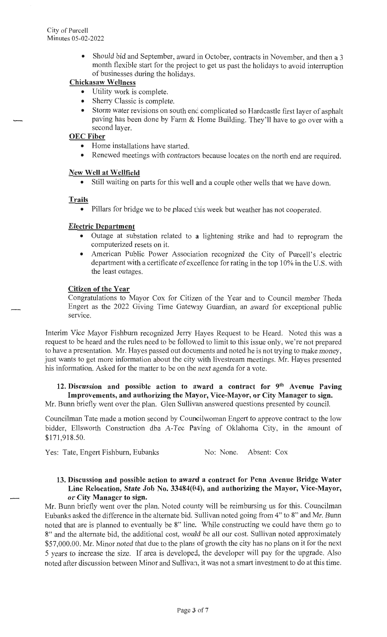• Should bid and September, award in October, contracts in November, and then a 3 month flexible start for the project to get us past the holidays to avoid interruption of businesses during the holidays.

# **Chickasaw Wellness**

- Utility work is complete.
- Sherry Classic is complete.
- Storm water revisions on south enc. complicated so Hardcastle first layer of asphalt paving has been done by Farm & Home Building. They'll have to go over with a second layer.

## **OEC Fiber**

- Home installations have started.
- Renewed meetings with contractors because locates on the north end are required.

# **New Well at Wellfield**

• Still waiting on parts for this well **and** a couple other wells that we have down.

### **Trails**

• Pillars for bridge we to be placed this week but weather has not cooperated.

# **Electric Department**

- Outage at substation related to **a** lightening strike and had to reprogram the computerized resets on it.
- American Public Power Association recognized the City of Purcell's electric department with a certificate of excellence for rating in the top 10% in the U.S. with the least outages.

# **Citizen of the Year**

Congratulations to Mayor Cox for Citizen of the Year and to Council member Theda Engert as the 2022 Giving Time Gateway Guardian, an award for exceptional public service.

Interim Vice Mayor Fishburn recognized Jerry Hayes Request to be Heard. Noted this was a request to be heard and the rules need to be followed to limit to this issue only, we're not prepared to have a presentation. Mr. Hayes passed out documents and noted he is not trying to make money, just wants to get more information about the city with livestream meetings. Mr. Hayes presented his information. Asked for the matter to be on the next agenda for a vote.

# **12. Discussion and possible action to award a contract for 9th Avenue Paving Improvements, and authorizing the Mayor, Vice-Mayor, or City Manager to sign.**

Mr. Bunn briefly went over the plan. Glen Sullivan answered questions presented by council.

Councilman Tate made a motion second by Councilwoman Engert to approve contract to the low bidder, Ellsworth Construction dba A-Tee Paving of Oklahoma City, in the amount of \$171 ,918.50.

Yes: Tate, Engert Fishburn, Eubanks No: None. Absent: Cox

### **13. Discussion and possible action to award a contract for Penn Avenue Bridge Water Line Relocation, State Job No. 33484(04), and authorizing the Mayor, Vice-Mayor, or City Manager to sign.**

Mr. Bunn briefly went over the plan. Noted county will be reimbursing us for this. Councilman Eubanks asked the difference in the alternate bid. Sullivan noted going from 4" to 8" and Mr. Bunn noted that are is planned to eventually be 8" line. While constructing we could have them go to 8" and the alternate bid, the additional cost, would be all our cost. Sullivan noted approximately \$57,000.00. Mr. Minor noted that due to the plans of growth the city has no plans on it for the next 5 years to increase the size. If area is developed, the developer will pay for the upgrade. Also noted after discussion between Minor and Sullivan, it was not a smart investment to do at this time.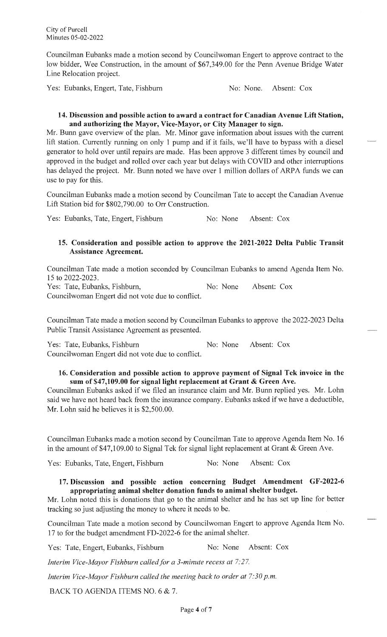Councilman Eubanks made a motion second by Councilwoman Engert to approve contract to the low bidder, Wee Construction, in the amount of \$67,349.00 for the Penn Avenue Bridge Water Line Relocation project.

Yes: Eubanks, Engert, Tate, Fishburn No: No. None. Absent: Cox

## **14. Discussion and possible action to award a contract for Canadian Avenue Lift Station, and authorizing the Mayor, Vice-Mayor, or City Manager to sign.**

Mr. Bunn gave overview of the plan. Mr. Minor gave information about issues with the current lift station. Currently running on only 1 pump and if it fails, we'll have to bypass with a diesel generator to hold over until repairs are made. Has been approve 3 different times by council and approved in the budget and rolled over each year but delays with COVID and other interruptions has delayed the project. Mr. Bunn noted we have over 1 million dollars of ARPA funds we can use to pay for this.

Councilman Eubanks made a motion second by Councilman Tate to accept the Canadian A venue Lift Station bid for \$802,790.00 to Orr Construction.

Yes: Eubanks, Tate, Engert, Fishburn No: None Absent: Cox

# **15. Consideration and possible action to approve the 2021-2022 Delta Public Transit Assistance Agreement.**

Councilman Tate made a motion seconded by Councilman Eubanks to amend Agenda Item No. 15 to 2022-2023.

Yes: Tate, Eubanks, Fishburn, No: None Absent: Cox Councilwoman Engert did not vote due to conflict.

Councilman Tate made a motion second by Councilman Eubanks to approve the 2022-2023 Delta Public Transit Assistance Agreement as presented.

Yes: Tate, Eubanks, Fishburn No: None Absent: Cox Councilwoman Engert did not vote due to conflict.

# **16. Consideration and possible action to approve payment of Signal Tek invoice in the sum of \$47,109.00 for signal light replacement at Grant & Green Ave.**

Councilman Eubanks asked if we filed an insurance claim and Mr. Bunn replied yes. Mr. Lohn said we have not heard back from the insurance company. Eubanks asked if we have a deductible, Mr. Lohn said he believes it is \$2,500.00.

Councilman Eubanks made a motion second by Councilman Tate to approve Agenda Item No. 16 in the amount of \$47,109.00 to Signal Tek for signal light replacement at Grant & Green Ave.

Yes: Eubanks, Tate, Engert, Fishburn No: None Absent: Cox

# **17. Discussion and possible action concerning Budget Amendment GF-2022-6 appropriating animal shelter donation funds to animal shelter budget.**

Mr. Lohn noted this is donations that go to the animal shelter and he has set up line for better tracking so just adjusting the money to where it needs to be.

Councilman Tate made a motion second by Councilwoman Engert to approve Agenda Item No. 17 to for the budget amendment FD-2022-6 for the animal shelter.

Yes: Tate, Engert, Eubanks, Fishburn No: None Absent: Cox

*Interim Vice-Mayor Fishburn called.for a 3-minute recess at 7: 27.* 

*Interim Vice-Mayor Fishburn called the meeting back to order at 7:30 p.m.* 

BACK TO AGENDA ITEMS NO. 6 & 7.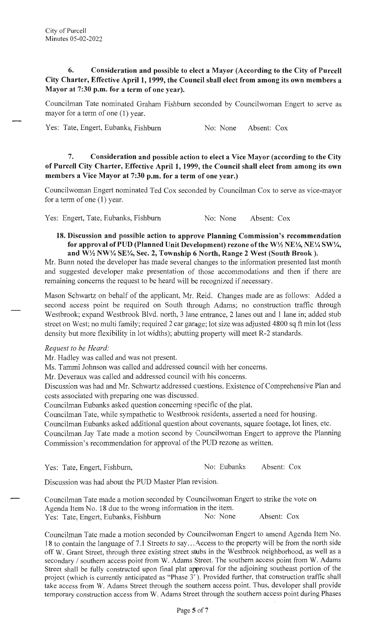# **6. Consideration and possible to elect a Mayor (According to the City of Purcell City Charter, Effective April 1, 1999, the Council shall elect from among its own members a Mayor at 7:30 p.m. for a term of one year).**

Councilman Tate nominated Graham Fishburn seconded by Councilwoman Engert to serve as mayor for a term of one **(1)** year.

Yes: Tate, Engert, Eubanks, Fishburn No: None Absent: Cox

# **7. Consideration and possible action to elect a Vice Mayor (according to the City of Purcell City Charter, Effective April 1, 1999, the Council shall elect from among its own members a Vice Mayor at 7:30 p.m. for a term of one year.)**

Councilwoman Engert nominated Ted Cox seconded by Councilman Cox to serve as vice-mayor for a term of one (1) year.

Yes: Engert, Tate, Eubanks, Fishburn No: None Absent: Cox

**18. Discussion and possible action to approve Planning Commission's recommendation for approval of PUD (Planned Unit Development) rezone of the W½ NE¼, NE¼ SW¼, and W½ NW¼ SE¼, Sec. 2, Township 6 North, Range 2 West (South Brook).** 

Mr. Bunn noted the developer has made several changes to the information presented last month and suggested developer make presentation of those accommodations and then if there are remaining concerns the request to be heard will be recognized if necessary.

Mason Schwartz on behalf of the applicant, Mr. Reid. Changes made are as follows: Added a second access point be required on South through Adams; no construction traffic through Westbrook; expand Westbrook Blvd. north, 3 lane entrance, 2 lanes out and 1 lane in; added stub street on West; no multi family; required 2 car garage; lot size was adjusted 4800 sq ft min lot (less density but more flexibility in lot widths); abutting property will meet R-2 standards.

### *Request to be Heard:*

Mr. Hadley was called and was not present.

Ms. Tammi Johnson was called and addressed council with her concerns.

Mr. Deveraux was called and addressed council with his concerns.

Discussion was had and Mr. Schwartz addressed cuestions. Existence of Comprehensive Plan and costs associated with preparing one was discussed.

Councilman Eubanks asked question concerning specific of the plat.

Councilman Tate, while sympathetic to Westbrook residents, asserted a need for housing.

Councilman Eubanks asked additional question about covenants, square footage, lot lines, etc.

Councilman Jay Tate made a motion second by Councilwoman Engert to approve the Planning Commission's recommendation for approval of the PUD rezone as written.

Yes: Tate, Engert, Fishburn, No: Eubanks Absent: Cox

Discussion was had about the PUD Master Plan revision.

Councilman Tate made a motion seconded by Councilwoman Engert to strike the vote on Agenda Item No. 18 due to the wrong information in the item.<br>Yes: Tate. Engert. Eubanks. Fishburn No: None Yes: Tate, Engert, Eubanks, Fishburn No: None Absent: Cox

Councilman Tate made a motion seconded by Councilwoman Engert to amend Agenda Item No. 18 to contain the language of 7.1 Streets to say ... Access to the property will be from the north side off W. Grant Street, through three existing street stubs in the Westbrook neighborhood, as well as a secondary / southern access point from W. Adams Street. The southern access point from W. Adams Street shall be fully constructed upon final plat approval for the adjoining southeast portion of the project (which is currently anticipated as "Phase 3"). Provided further, that construction traffic shall take access from W. Adams Street through the southern access point. Thus, developer shall provide temporary construction access from W. Adams Street through the southern access point during Phases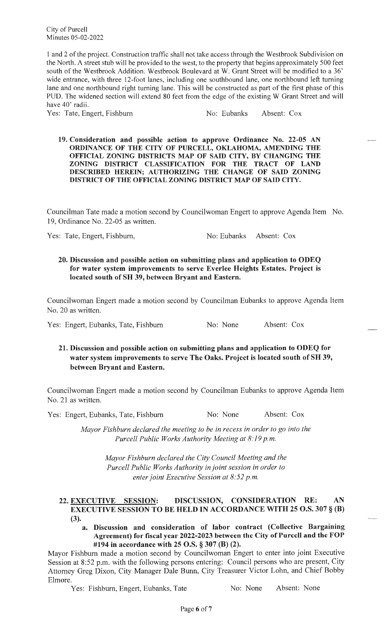City of Purcell Minutes 05-02-2022

1 and 2 of the project. Construction traffic shall not take access through the Westbrook Subdivision on the North. A street stub will be provided to the west, to the property that begins approximately 500 feet south of the Westbrook Addition. Westbrook Boulevard at W. Grant Street will be modified to a 36' wide entrance, with three 12-foot lanes, including one southbound lane, one northbound left turning lane and one northbound right turning lane. This will be constructed as part of the first phase of this PUD. The widened section will extend 80 feet from the edge of the existing W Grant Street and will have 40' radii.

Yes: Tate, Engert, Fishburn No: Eubanks Absent: Cox

 $\overline{\phantom{a}}$ 

LJ

**19. Consideration and possible action to approve Ordinance No. 22-05 AN ORDINANCE OF THE CITY OF PURCELL, OKLAHOMA, AMENDING THE OFFICIAL ZONING DISTRICTS MAP OF SAID CITY, BY CHANGING THE ZONING DISTRICT CLASSIFICATION FOR THE TRACT OF LAND DESCRIBED HEREIN; AUTHORIZING THE CHANGE OF SAID ZONING DISTRICT OF THE OFFICIAL ZONING DISTRICT MAP OF SAID CITY.** 

Councilman Tate made a motion second by Councilwoman Engert to approve Agenda Item No. 19, Ordinance No. 22-05 as written.

Yes: Tate, Engert, Fishburn, No: Eubanks Absent: Cox

### **20. Discussion and possible action on submitting plans and application to ODEQ for water system improvements to serve Everlee Heights Estates. Project is located south of SH 39, between Bryant and Eastern.**

Councilwoman Engert made a motion second by Councilman Eubanks to approve Agenda Item No. 20 as written.

Yes: Engert, Eubanks, Tate, Fishburn No: None Absent: Cox

# **21. Discussion and possible action on submitting plans and application to ODEQ for water system improvements to serve The Oaks. Project is located south of SH 39, between Bryant and Eastern.**

Councilwoman Engert made a motion second by Councilman Eubanks to approve Agenda Item No. 21 as written.

Yes: Engert, Eubanks, Tate, Fishburn No: None Absent: Cox

*Mayor Fishburn declared the meeting to be in recess in order to go into the Purcell Public Works Authority Meeting at 8:19 p.m.* 

> *Mayor Fishburn declared the City Council Meeting and the Purcell Public Works Authority in joint session in order to enter joint Executive Session at 8:52 p.m.*

### **22. EXECUTIVE SESSION: DISCUSSION, CONSIDERATION RE: AN** I **EXECUTIVE SESSION TO BE HELD IN ACCORDANCE WITH 25 O.S. 307 § (B)** (3).

**a. Discussion and consideration of labor contract (Collective Bargaining Agreement) for fiscal year 2022-2023 between the City of Purcell and the FOP #194 in accordance with 25 O.S.** § **307 (B) (2).** 

Mayor Fishburn made a motion second by Councilwoman Engert to enter into joint Executive Session at 8:52 p.m. with the following persons entering: Council persons who are present, City Attorney Greg Dixon, City Manager Dale Bunn, City Treasurer Victor Lohn, and Chief Bobby Elmore.

Yes: Fishburn, Engert, Eubanks, Tate No: None Absent: None